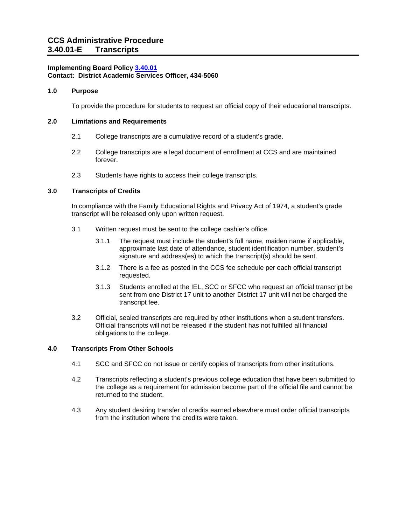### **Implementing Board Policy [3.40.01](https://ccs.spokane.edu/About-Us/Leadership/Board-of-Trustees/Policies-Procedures/Chapter3#AccWE2-4) Contact: District Academic Services Officer, 434-5060**

#### **1.0 Purpose**

To provide the procedure for students to request an official copy of their educational transcripts.

### **2.0 Limitations and Requirements**

- 2.1 College transcripts are a cumulative record of a student's grade.
- 2.2 College transcripts are a legal document of enrollment at CCS and are maintained forever.
- 2.3 Students have rights to access their college transcripts.

# **3.0 Transcripts of Credits**

In compliance with the Family Educational Rights and Privacy Act of 1974, a student's grade transcript will be released only upon written request.

- 3.1 Written request must be sent to the college cashier's office.
	- 3.1.1 The request must include the student's full name, maiden name if applicable, approximate last date of attendance, student identification number, student's signature and address(es) to which the transcript(s) should be sent.
	- 3.1.2 There is a fee as posted in the CCS fee schedule per each official transcript requested.
	- 3.1.3 Students enrolled at the IEL, SCC or SFCC who request an official transcript be sent from one District 17 unit to another District 17 unit will not be charged the transcript fee.
- 3.2 Official, sealed transcripts are required by other institutions when a student transfers. Official transcripts will not be released if the student has not fulfilled all financial obligations to the college.

# **4.0 Transcripts From Other Schools**

- 4.1 SCC and SFCC do not issue or certify copies of transcripts from other institutions.
- 4.2 Transcripts reflecting a student's previous college education that have been submitted to the college as a requirement for admission become part of the official file and cannot be returned to the student.
- 4.3 Any student desiring transfer of credits earned elsewhere must order official transcripts from the institution where the credits were taken